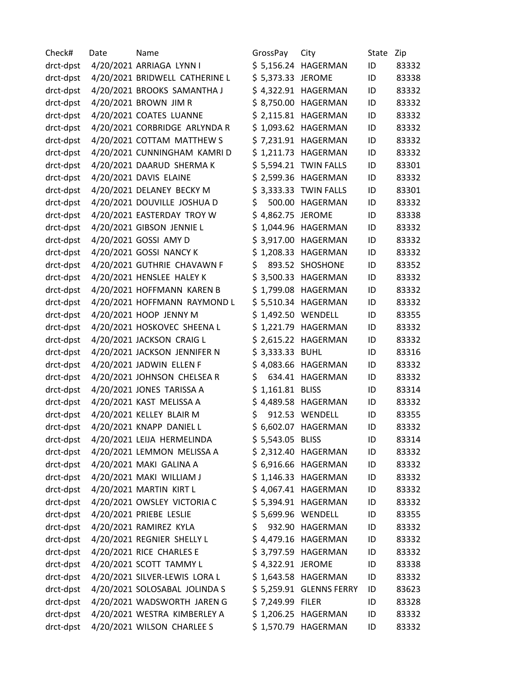| Check#    | Date | Name                           | GrossPay           | City                    | State | Zip   |
|-----------|------|--------------------------------|--------------------|-------------------------|-------|-------|
| drct-dpst |      | 4/20/2021 ARRIAGA LYNN I       |                    | \$5,156.24 HAGERMAN     | ID    | 83332 |
| drct-dpst |      | 4/20/2021 BRIDWELL CATHERINE L | \$5,373.33 JEROME  |                         | ID    | 83338 |
| drct-dpst |      | 4/20/2021 BROOKS SAMANTHA J    |                    | \$4,322.91 HAGERMAN     | ID    | 83332 |
| drct-dpst |      | 4/20/2021 BROWN JIM R          |                    | \$8,750.00 HAGERMAN     | ID    | 83332 |
| drct-dpst |      | 4/20/2021 COATES LUANNE        |                    | \$ 2,115.81 HAGERMAN    | ID    | 83332 |
| drct-dpst |      | 4/20/2021 CORBRIDGE ARLYNDA R  |                    | \$1,093.62 HAGERMAN     | ID    | 83332 |
| drct-dpst |      | 4/20/2021 COTTAM MATTHEW S     |                    | \$7,231.91 HAGERMAN     | ID    | 83332 |
| drct-dpst |      | 4/20/2021 CUNNINGHAM KAMRI D   |                    | \$1,211.73 HAGERMAN     | ID    | 83332 |
| drct-dpst |      | 4/20/2021 DAARUD SHERMA K      |                    | \$5,594.21 TWIN FALLS   | ID    | 83301 |
| drct-dpst |      | 4/20/2021 DAVIS ELAINE         |                    | \$ 2,599.36 HAGERMAN    | ID    | 83332 |
| drct-dpst |      | 4/20/2021 DELANEY BECKY M      |                    | \$3,333.33 TWIN FALLS   | ID    | 83301 |
| drct-dpst |      | 4/20/2021 DOUVILLE JOSHUA D    | \$                 | 500.00 HAGERMAN         | ID    | 83332 |
| drct-dpst |      | 4/20/2021 EASTERDAY TROY W     | \$4,862.75 JEROME  |                         | ID    | 83338 |
| drct-dpst |      | 4/20/2021 GIBSON JENNIE L      |                    | \$1,044.96 HAGERMAN     | ID    | 83332 |
| drct-dpst |      | 4/20/2021 GOSSI AMY D          |                    | \$3,917.00 HAGERMAN     | ID    | 83332 |
| drct-dpst |      | 4/20/2021 GOSSI NANCY K        |                    | \$1,208.33 HAGERMAN     | ID    | 83332 |
| drct-dpst |      | 4/20/2021 GUTHRIE CHAVAWN F    | \$                 | 893.52 SHOSHONE         | ID    | 83352 |
| drct-dpst |      | 4/20/2021 HENSLEE HALEY K      |                    | \$3,500.33 HAGERMAN     | ID    | 83332 |
| drct-dpst |      | 4/20/2021 HOFFMANN KAREN B     |                    | \$1,799.08 HAGERMAN     | ID    | 83332 |
| drct-dpst |      | 4/20/2021 HOFFMANN RAYMOND L   |                    | \$5,510.34 HAGERMAN     | ID    | 83332 |
| drct-dpst |      | 4/20/2021 HOOP JENNY M         | \$1,492.50 WENDELL |                         | ID    | 83355 |
| drct-dpst |      | 4/20/2021 HOSKOVEC SHEENA L    |                    | \$1,221.79 HAGERMAN     | ID    | 83332 |
| drct-dpst |      | 4/20/2021 JACKSON CRAIG L      |                    | \$ 2,615.22 HAGERMAN    | ID    | 83332 |
| drct-dpst |      | 4/20/2021 JACKSON JENNIFER N   | \$ 3,333.33 BUHL   |                         | ID    | 83316 |
| drct-dpst |      | 4/20/2021 JADWIN ELLEN F       |                    | \$4,083.66 HAGERMAN     | ID    | 83332 |
| drct-dpst |      | 4/20/2021 JOHNSON CHELSEA R    | \$                 | 634.41 HAGERMAN         | ID    | 83332 |
| drct-dpst |      | 4/20/2021 JONES TARISSA A      | $$1,161.81$ BLISS  |                         | ID    | 83314 |
| drct-dpst |      | 4/20/2021 KAST MELISSA A       |                    | \$4,489.58 HAGERMAN     | ID    | 83332 |
| drct-dpst |      | 4/20/2021 KELLEY BLAIR M       | \$                 | 912.53 WENDELL          | ID    | 83355 |
| drct-dpst |      | 4/20/2021 KNAPP DANIEL L       |                    | \$ 6,602.07 HAGERMAN    | ID    | 83332 |
| drct-dpst |      | 4/20/2021 LEIJA HERMELINDA     | \$5,543.05 BLISS   |                         | ID    | 83314 |
| drct-dpst |      | 4/20/2021 LEMMON MELISSA A     |                    | \$ 2,312.40 HAGERMAN    | ID    | 83332 |
| drct-dpst |      | 4/20/2021 MAKI GALINA A        |                    | \$ 6,916.66 HAGERMAN    | ID    | 83332 |
| drct-dpst |      | 4/20/2021 MAKI WILLIAM J       |                    | \$1,146.33 HAGERMAN     | ID    | 83332 |
| drct-dpst |      | 4/20/2021 MARTIN KIRT L        |                    | \$4,067.41 HAGERMAN     | ID    | 83332 |
| drct-dpst |      | 4/20/2021 OWSLEY VICTORIA C    |                    | \$5,394.91 HAGERMAN     | ID    | 83332 |
| drct-dpst |      | 4/20/2021 PRIEBE LESLIE        | \$5,699.96 WENDELL |                         | ID    | 83355 |
| drct-dpst |      | 4/20/2021 RAMIREZ KYLA         | \$                 | 932.90 HAGERMAN         | ID    | 83332 |
| drct-dpst |      | 4/20/2021 REGNIER SHELLY L     |                    | \$4,479.16 HAGERMAN     | ID    | 83332 |
| drct-dpst |      | 4/20/2021 RICE CHARLES E       |                    | \$ 3,797.59 HAGERMAN    | ID    | 83332 |
| drct-dpst |      | 4/20/2021 SCOTT TAMMY L        | \$4,322.91 JEROME  |                         | ID    | 83338 |
| drct-dpst |      | 4/20/2021 SILVER-LEWIS LORA L  |                    | \$1,643.58 HAGERMAN     | ID    | 83332 |
| drct-dpst |      | 4/20/2021 SOLOSABAL JOLINDA S  |                    | \$5,259.91 GLENNS FERRY | ID    | 83623 |
| drct-dpst |      | 4/20/2021 WADSWORTH JAREN G    | \$7,249.99 FILER   |                         | ID    | 83328 |
| drct-dpst |      | 4/20/2021 WESTRA KIMBERLEY A   |                    | \$1,206.25 HAGERMAN     | ID    | 83332 |
| drct-dpst |      | 4/20/2021 WILSON CHARLEE S     |                    | \$1,570.79 HAGERMAN     | ID    | 83332 |